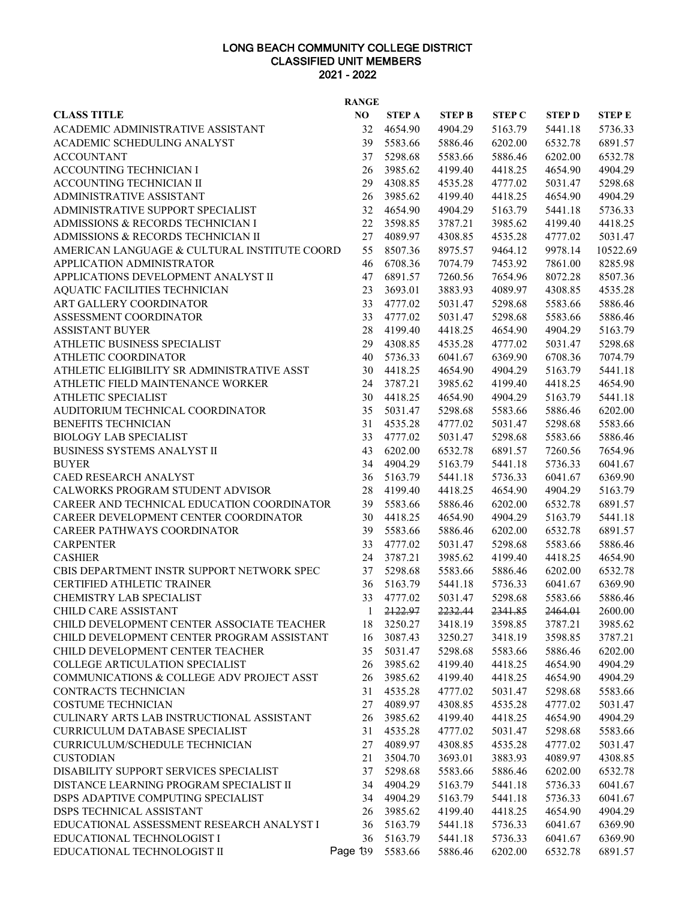## LONG BEACH COMMUNITY COLLEGE DISTRICT CLASSIFIED UNIT MEMBERS 2021 - 2022

| <b>RANGE</b>                                                                             |          |                    |                    |                    |                    |                    |  |  |
|------------------------------------------------------------------------------------------|----------|--------------------|--------------------|--------------------|--------------------|--------------------|--|--|
| <b>CLASS TITLE</b>                                                                       | NO       | <b>STEP A</b>      | <b>STEP B</b>      | <b>STEP C</b>      | <b>STEPD</b>       | <b>STEP E</b>      |  |  |
| ACADEMIC ADMINISTRATIVE ASSISTANT                                                        | 32       | 4654.90            | 4904.29            | 5163.79            | 5441.18            | 5736.33            |  |  |
| ACADEMIC SCHEDULING ANALYST                                                              | 39       | 5583.66            | 5886.46            | 6202.00            | 6532.78            | 6891.57            |  |  |
| <b>ACCOUNTANT</b>                                                                        | 37       | 5298.68            | 5583.66            | 5886.46            | 6202.00            | 6532.78            |  |  |
| ACCOUNTING TECHNICIAN I                                                                  | 26       | 3985.62            | 4199.40            | 4418.25            | 4654.90            | 4904.29            |  |  |
| ACCOUNTING TECHNICIAN II                                                                 | 29       | 4308.85            | 4535.28            | 4777.02            | 5031.47            | 5298.68            |  |  |
| ADMINISTRATIVE ASSISTANT                                                                 | 26       | 3985.62            | 4199.40            | 4418.25            | 4654.90            | 4904.29            |  |  |
| ADMINISTRATIVE SUPPORT SPECIALIST                                                        | 32       | 4654.90            | 4904.29            | 5163.79            | 5441.18            | 5736.33            |  |  |
| ADMISSIONS & RECORDS TECHNICIAN I                                                        | 22       | 3598.85            | 3787.21            | 3985.62            | 4199.40            | 4418.25            |  |  |
| ADMISSIONS & RECORDS TECHNICIAN II                                                       | 27       | 4089.97            | 4308.85            | 4535.28            | 4777.02            | 5031.47            |  |  |
| AMERICAN LANGUAGE & CULTURAL INSTITUTE COORD                                             | 55       | 8507.36            | 8975.57            | 9464.12            | 9978.14            | 10522.69           |  |  |
| APPLICATION ADMINISTRATOR                                                                | 46       | 6708.36            | 7074.79            | 7453.92            | 7861.00            | 8285.98            |  |  |
| APPLICATIONS DEVELOPMENT ANALYST II                                                      | 47       | 6891.57            | 7260.56            | 7654.96            | 8072.28            | 8507.36            |  |  |
| AQUATIC FACILITIES TECHNICIAN                                                            | 23       | 3693.01            | 3883.93            | 4089.97            | 4308.85            | 4535.28            |  |  |
| ART GALLERY COORDINATOR                                                                  | 33       | 4777.02            | 5031.47            | 5298.68            | 5583.66            | 5886.46            |  |  |
| ASSESSMENT COORDINATOR                                                                   | 33       | 4777.02            | 5031.47            | 5298.68            | 5583.66            | 5886.46            |  |  |
| <b>ASSISTANT BUYER</b>                                                                   | 28       | 4199.40            | 4418.25            | 4654.90            | 4904.29            | 5163.79            |  |  |
| ATHLETIC BUSINESS SPECIALIST                                                             | 29       | 4308.85            | 4535.28            | 4777.02            | 5031.47            | 5298.68            |  |  |
| ATHLETIC COORDINATOR                                                                     | 40       | 5736.33            | 6041.67            | 6369.90            | 6708.36            | 7074.79            |  |  |
| ATHLETIC ELIGIBILITY SR ADMINISTRATIVE ASST                                              | 30       | 4418.25            | 4654.90            | 4904.29            | 5163.79            | 5441.18            |  |  |
| ATHLETIC FIELD MAINTENANCE WORKER                                                        | 24       | 3787.21            | 3985.62            | 4199.40            | 4418.25            | 4654.90            |  |  |
| <b>ATHLETIC SPECIALIST</b>                                                               | 30       | 4418.25            | 4654.90            | 4904.29            | 5163.79            | 5441.18            |  |  |
| AUDITORIUM TECHNICAL COORDINATOR                                                         | 35       | 5031.47            | 5298.68            | 5583.66            | 5886.46            | 6202.00            |  |  |
| <b>BENEFITS TECHNICIAN</b>                                                               | 31       | 4535.28            | 4777.02            | 5031.47            | 5298.68            | 5583.66            |  |  |
| <b>BIOLOGY LAB SPECIALIST</b>                                                            | 33       | 4777.02            | 5031.47            | 5298.68            | 5583.66            | 5886.46            |  |  |
| BUSINESS SYSTEMS ANALYST II                                                              | 43       | 6202.00            | 6532.78            | 6891.57            | 7260.56            | 7654.96            |  |  |
| <b>BUYER</b>                                                                             | 34       | 4904.29            | 5163.79            | 5441.18            | 5736.33            | 6041.67            |  |  |
| CAED RESEARCH ANALYST                                                                    | 36       | 5163.79            | 5441.18            | 5736.33            | 6041.67            | 6369.90            |  |  |
| CALWORKS PROGRAM STUDENT ADVISOR                                                         | 28       | 4199.40            | 4418.25            | 4654.90            | 4904.29            | 5163.79            |  |  |
| CAREER AND TECHNICAL EDUCATION COORDINATOR                                               | 39       | 5583.66            | 5886.46            | 6202.00            | 6532.78            | 6891.57            |  |  |
| CAREER DEVELOPMENT CENTER COORDINATOR                                                    | 30       | 4418.25            | 4654.90            | 4904.29            | 5163.79            | 5441.18            |  |  |
| <b>CAREER PATHWAYS COORDINATOR</b>                                                       | 39       | 5583.66            | 5886.46            | 6202.00            | 6532.78            | 6891.57            |  |  |
| <b>CARPENTER</b>                                                                         | 33       | 4777.02            | 5031.47            | 5298.68            | 5583.66            | 5886.46            |  |  |
| <b>CASHIER</b>                                                                           | 24       | 3787.21            | 3985.62            | 4199.40            | 4418.25            | 4654.90            |  |  |
| CBIS DEPARTMENT INSTR SUPPORT NETWORK SPEC                                               | 37       | 5298.68            | 5583.66            | 5886.46            | 6202.00            | 6532.78            |  |  |
| CERTIFIED ATHLETIC TRAINER                                                               | 36       | 5163.79            | 5441.18            | 5736.33            | 6041.67            | 6369.90            |  |  |
| <b>CHEMISTRY LAB SPECIALIST</b>                                                          | 33       | 4777.02            | 5031.47            | 5298.68            | 5583.66            | 5886.46            |  |  |
| CHILD CARE ASSISTANT                                                                     | 1        | 2122.97            | 2232.44            | 2341.85            | 2464.01            | 2600.00            |  |  |
| CHILD DEVELOPMENT CENTER ASSOCIATE TEACHER<br>CHILD DEVELOPMENT CENTER PROGRAM ASSISTANT | 18<br>16 | 3250.27<br>3087.43 | 3418.19<br>3250.27 | 3598.85<br>3418.19 | 3787.21<br>3598.85 | 3985.62<br>3787.21 |  |  |
| CHILD DEVELOPMENT CENTER TEACHER                                                         | 35       | 5031.47            | 5298.68            | 5583.66            | 5886.46            | 6202.00            |  |  |
| COLLEGE ARTICULATION SPECIALIST                                                          | 26       | 3985.62            | 4199.40            | 4418.25            | 4654.90            | 4904.29            |  |  |
| COMMUNICATIONS & COLLEGE ADV PROJECT ASST                                                | 26       | 3985.62            | 4199.40            | 4418.25            | 4654.90            | 4904.29            |  |  |
| CONTRACTS TECHNICIAN                                                                     | 31       | 4535.28            | 4777.02            | 5031.47            | 5298.68            | 5583.66            |  |  |
| <b>COSTUME TECHNICIAN</b>                                                                | 27       | 4089.97            | 4308.85            | 4535.28            | 4777.02            | 5031.47            |  |  |
| CULINARY ARTS LAB INSTRUCTIONAL ASSISTANT                                                | 26       | 3985.62            | 4199.40            | 4418.25            | 4654.90            | 4904.29            |  |  |
| <b>CURRICULUM DATABASE SPECIALIST</b>                                                    | 31       | 4535.28            | 4777.02            | 5031.47            | 5298.68            | 5583.66            |  |  |
| CURRICULUM/SCHEDULE TECHNICIAN                                                           | 27       | 4089.97            | 4308.85            | 4535.28            | 4777.02            | 5031.47            |  |  |
| <b>CUSTODIAN</b>                                                                         | 21       | 3504.70            | 3693.01            | 3883.93            | 4089.97            | 4308.85            |  |  |
| DISABILITY SUPPORT SERVICES SPECIALIST                                                   | 37       | 5298.68            | 5583.66            | 5886.46            | 6202.00            | 6532.78            |  |  |
| DISTANCE LEARNING PROGRAM SPECIALIST II                                                  | 34       | 4904.29            | 5163.79            | 5441.18            | 5736.33            | 6041.67            |  |  |
| DSPS ADAPTIVE COMPUTING SPECIALIST                                                       | 34       | 4904.29            | 5163.79            | 5441.18            | 5736.33            | 6041.67            |  |  |
| DSPS TECHNICAL ASSISTANT                                                                 | 26       | 3985.62            | 4199.40            | 4418.25            | 4654.90            | 4904.29            |  |  |
| EDUCATIONAL ASSESSMENT RESEARCH ANALYST I                                                | 36       | 5163.79            | 5441.18            | 5736.33            | 6041.67            | 6369.90            |  |  |
| EDUCATIONAL TECHNOLOGIST I                                                               | 36       | 5163.79            | 5441.18            | 5736.33            | 6041.67            | 6369.90            |  |  |
| EDUCATIONAL TECHNOLOGIST II                                                              | Page 139 | 5583.66            | 5886.46            | 6202.00            | 6532.78            | 6891.57            |  |  |
|                                                                                          |          |                    |                    |                    |                    |                    |  |  |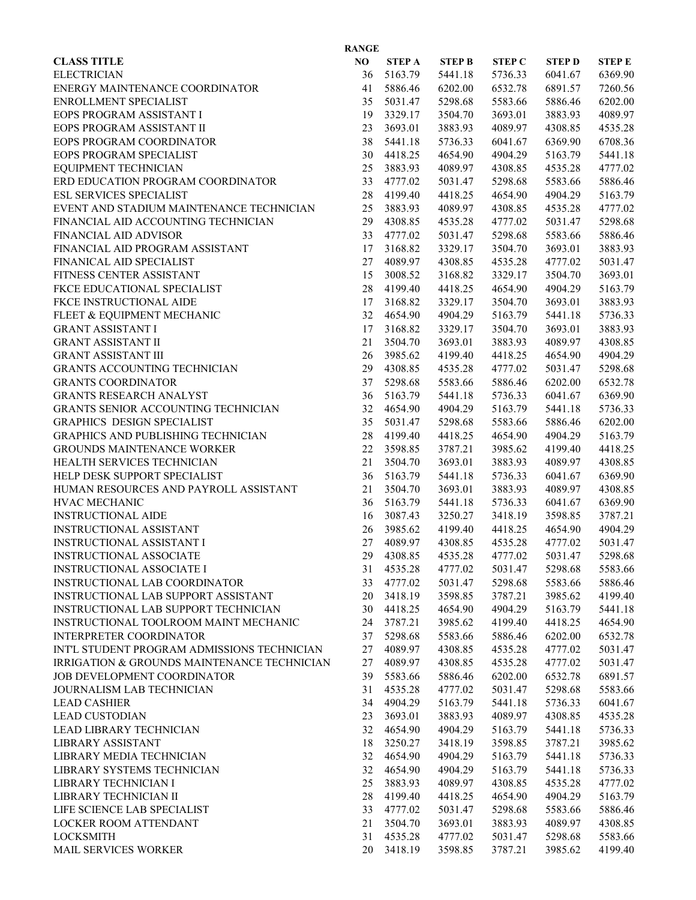| <b>RANGE</b>                                |    |               |               |               |              |               |  |  |
|---------------------------------------------|----|---------------|---------------|---------------|--------------|---------------|--|--|
| <b>CLASS TITLE</b>                          | NO | <b>STEP A</b> | <b>STEP B</b> | <b>STEP C</b> | <b>STEPD</b> | <b>STEP E</b> |  |  |
| <b>ELECTRICIAN</b>                          | 36 | 5163.79       | 5441.18       | 5736.33       | 6041.67      | 6369.90       |  |  |
| ENERGY MAINTENANCE COORDINATOR              | 41 | 5886.46       | 6202.00       | 6532.78       | 6891.57      | 7260.56       |  |  |
| ENROLLMENT SPECIALIST                       | 35 | 5031.47       | 5298.68       | 5583.66       | 5886.46      | 6202.00       |  |  |
| EOPS PROGRAM ASSISTANT I                    | 19 | 3329.17       | 3504.70       | 3693.01       | 3883.93      | 4089.97       |  |  |
| EOPS PROGRAM ASSISTANT II                   | 23 | 3693.01       | 3883.93       | 4089.97       | 4308.85      | 4535.28       |  |  |
| EOPS PROGRAM COORDINATOR                    | 38 | 5441.18       | 5736.33       | 6041.67       | 6369.90      | 6708.36       |  |  |
| EOPS PROGRAM SPECIALIST                     | 30 | 4418.25       | 4654.90       | 4904.29       | 5163.79      | 5441.18       |  |  |
| EQUIPMENT TECHNICIAN                        | 25 | 3883.93       | 4089.97       | 4308.85       | 4535.28      | 4777.02       |  |  |
| ERD EDUCATION PROGRAM COORDINATOR           | 33 | 4777.02       | 5031.47       | 5298.68       | 5583.66      | 5886.46       |  |  |
| <b>ESL SERVICES SPECIALIST</b>              | 28 | 4199.40       | 4418.25       | 4654.90       | 4904.29      | 5163.79       |  |  |
| EVENT AND STADIUM MAINTENANCE TECHNICIAN    | 25 | 3883.93       | 4089.97       | 4308.85       | 4535.28      | 4777.02       |  |  |
| FINANCIAL AID ACCOUNTING TECHNICIAN         | 29 | 4308.85       | 4535.28       | 4777.02       | 5031.47      | 5298.68       |  |  |
| FINANCIAL AID ADVISOR                       | 33 | 4777.02       | 5031.47       | 5298.68       | 5583.66      | 5886.46       |  |  |
| FINANCIAL AID PROGRAM ASSISTANT             | 17 | 3168.82       | 3329.17       | 3504.70       | 3693.01      | 3883.93       |  |  |
| FINANICAL AID SPECIALIST                    | 27 | 4089.97       | 4308.85       | 4535.28       | 4777.02      | 5031.47       |  |  |
| FITNESS CENTER ASSISTANT                    | 15 | 3008.52       | 3168.82       | 3329.17       | 3504.70      | 3693.01       |  |  |
| FKCE EDUCATIONAL SPECIALIST                 | 28 | 4199.40       | 4418.25       | 4654.90       | 4904.29      | 5163.79       |  |  |
| FKCE INSTRUCTIONAL AIDE                     | 17 | 3168.82       | 3329.17       | 3504.70       | 3693.01      | 3883.93       |  |  |
| FLEET & EQUIPMENT MECHANIC                  | 32 | 4654.90       | 4904.29       | 5163.79       | 5441.18      | 5736.33       |  |  |
| <b>GRANT ASSISTANT I</b>                    | 17 | 3168.82       | 3329.17       | 3504.70       | 3693.01      | 3883.93       |  |  |
| <b>GRANT ASSISTANT II</b>                   | 21 | 3504.70       | 3693.01       | 3883.93       | 4089.97      | 4308.85       |  |  |
| <b>GRANT ASSISTANT III</b>                  | 26 | 3985.62       | 4199.40       | 4418.25       | 4654.90      | 4904.29       |  |  |
| <b>GRANTS ACCOUNTING TECHNICIAN</b>         | 29 | 4308.85       | 4535.28       | 4777.02       | 5031.47      | 5298.68       |  |  |
| <b>GRANTS COORDINATOR</b>                   | 37 | 5298.68       | 5583.66       | 5886.46       | 6202.00      | 6532.78       |  |  |
|                                             | 36 |               |               |               |              |               |  |  |
| <b>GRANTS RESEARCH ANALYST</b>              | 32 | 5163.79       | 5441.18       | 5736.33       | 6041.67      | 6369.90       |  |  |
| GRANTS SENIOR ACCOUNTING TECHNICIAN         |    | 4654.90       | 4904.29       | 5163.79       | 5441.18      | 5736.33       |  |  |
| GRAPHICS DESIGN SPECIALIST                  | 35 | 5031.47       | 5298.68       | 5583.66       | 5886.46      | 6202.00       |  |  |
| GRAPHICS AND PUBLISHING TECHNICIAN          | 28 | 4199.40       | 4418.25       | 4654.90       | 4904.29      | 5163.79       |  |  |
| <b>GROUNDS MAINTENANCE WORKER</b>           | 22 | 3598.85       | 3787.21       | 3985.62       | 4199.40      | 4418.25       |  |  |
| HEALTH SERVICES TECHNICIAN                  | 21 | 3504.70       | 3693.01       | 3883.93       | 4089.97      | 4308.85       |  |  |
| HELP DESK SUPPORT SPECIALIST                | 36 | 5163.79       | 5441.18       | 5736.33       | 6041.67      | 6369.90       |  |  |
| HUMAN RESOURCES AND PAYROLL ASSISTANT       | 21 | 3504.70       | 3693.01       | 3883.93       | 4089.97      | 4308.85       |  |  |
| <b>HVAC MECHANIC</b>                        | 36 | 5163.79       | 5441.18       | 5736.33       | 6041.67      | 6369.90       |  |  |
| <b>INSTRUCTIONAL AIDE</b>                   | 16 | 3087.43       | 3250.27       | 3418.19       | 3598.85      | 3787.21       |  |  |
| INSTRUCTIONAL ASSISTANT                     | 26 | 3985.62       | 4199.40       | 4418.25       | 4654.90      | 4904.29       |  |  |
| <b>INSTRUCTIONAL ASSISTANT I</b>            | 27 | 4089.97       | 4308.85       | 4535.28       | 4777.02      | 5031.47       |  |  |
| <b>INSTRUCTIONAL ASSOCIATE</b>              | 29 | 4308.85       | 4535.28       | 4777.02       | 5031.47      | 5298.68       |  |  |
| <b>INSTRUCTIONAL ASSOCIATE I</b>            | 31 | 4535.28       | 4777.02       | 5031.47       | 5298.68      | 5583.66       |  |  |
| INSTRUCTIONAL LAB COORDINATOR               | 33 | 4777.02       | 5031.47       | 5298.68       | 5583.66      | 5886.46       |  |  |
| INSTRUCTIONAL LAB SUPPORT ASSISTANT         | 20 | 3418.19       | 3598.85       | 3787.21       | 3985.62      | 4199.40       |  |  |
| INSTRUCTIONAL LAB SUPPORT TECHNICIAN        | 30 | 4418.25       | 4654.90       | 4904.29       | 5163.79      | 5441.18       |  |  |
| INSTRUCTIONAL TOOLROOM MAINT MECHANIC       | 24 | 3787.21       | 3985.62       | 4199.40       | 4418.25      | 4654.90       |  |  |
| INTERPRETER COORDINATOR                     | 37 | 5298.68       | 5583.66       | 5886.46       | 6202.00      | 6532.78       |  |  |
| INTL STUDENT PROGRAM ADMISSIONS TECHNICIAN  | 27 | 4089.97       | 4308.85       | 4535.28       | 4777.02      | 5031.47       |  |  |
| IRRIGATION & GROUNDS MAINTENANCE TECHNICIAN | 27 | 4089.97       | 4308.85       | 4535.28       | 4777.02      | 5031.47       |  |  |
| JOB DEVELOPMENT COORDINATOR                 | 39 | 5583.66       | 5886.46       | 6202.00       | 6532.78      | 6891.57       |  |  |
| JOURNALISM LAB TECHNICIAN                   | 31 | 4535.28       | 4777.02       | 5031.47       | 5298.68      | 5583.66       |  |  |
| <b>LEAD CASHIER</b>                         | 34 | 4904.29       | 5163.79       | 5441.18       | 5736.33      | 6041.67       |  |  |
| <b>LEAD CUSTODIAN</b>                       | 23 | 3693.01       | 3883.93       | 4089.97       | 4308.85      | 4535.28       |  |  |
| LEAD LIBRARY TECHNICIAN                     | 32 | 4654.90       | 4904.29       | 5163.79       | 5441.18      | 5736.33       |  |  |
| LIBRARY ASSISTANT                           | 18 | 3250.27       | 3418.19       | 3598.85       | 3787.21      | 3985.62       |  |  |
| LIBRARY MEDIA TECHNICIAN                    | 32 | 4654.90       | 4904.29       | 5163.79       | 5441.18      | 5736.33       |  |  |
| LIBRARY SYSTEMS TECHNICIAN                  | 32 | 4654.90       | 4904.29       | 5163.79       | 5441.18      | 5736.33       |  |  |
| LIBRARY TECHNICIAN I                        | 25 | 3883.93       | 4089.97       | 4308.85       | 4535.28      | 4777.02       |  |  |
| LIBRARY TECHNICIAN II                       | 28 | 4199.40       | 4418.25       | 4654.90       | 4904.29      | 5163.79       |  |  |
| LIFE SCIENCE LAB SPECIALIST                 | 33 | 4777.02       | 5031.47       | 5298.68       | 5583.66      | 5886.46       |  |  |
| LOCKER ROOM ATTENDANT                       | 21 | 3504.70       | 3693.01       | 3883.93       | 4089.97      | 4308.85       |  |  |
| <b>LOCKSMITH</b>                            | 31 | 4535.28       | 4777.02       | 5031.47       | 5298.68      | 5583.66       |  |  |
| MAIL SERVICES WORKER                        | 20 | 3418.19       | 3598.85       | 3787.21       | 3985.62      | 4199.40       |  |  |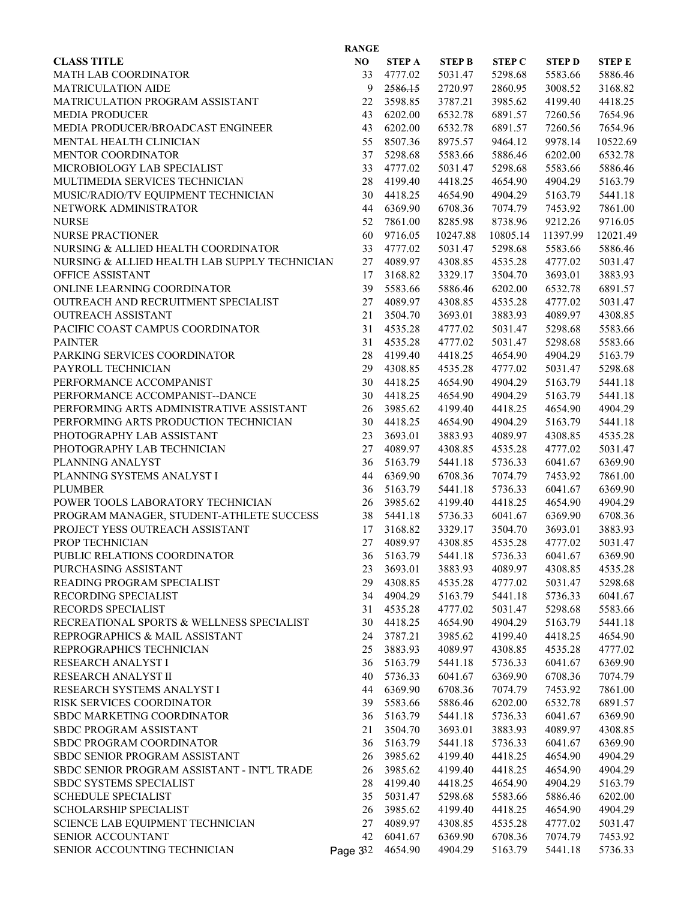| <b>RANGE</b>                                  |          |               |               |               |              |              |  |  |
|-----------------------------------------------|----------|---------------|---------------|---------------|--------------|--------------|--|--|
| <b>CLASS TITLE</b>                            | NO       | <b>STEP A</b> | <b>STEP B</b> | <b>STEP C</b> | <b>STEPD</b> | <b>STEPE</b> |  |  |
| MATH LAB COORDINATOR                          | 33       | 4777.02       | 5031.47       | 5298.68       | 5583.66      | 5886.46      |  |  |
| <b>MATRICULATION AIDE</b>                     | 9        | 2586.15       | 2720.97       | 2860.95       | 3008.52      | 3168.82      |  |  |
| MATRICULATION PROGRAM ASSISTANT               | 22       | 3598.85       | 3787.21       | 3985.62       | 4199.40      | 4418.25      |  |  |
| <b>MEDIA PRODUCER</b>                         | 43       | 6202.00       | 6532.78       | 6891.57       | 7260.56      | 7654.96      |  |  |
| MEDIA PRODUCER/BROADCAST ENGINEER             | 43       | 6202.00       | 6532.78       | 6891.57       | 7260.56      | 7654.96      |  |  |
| MENTAL HEALTH CLINICIAN                       | 55       | 8507.36       | 8975.57       | 9464.12       | 9978.14      | 10522.69     |  |  |
| MENTOR COORDINATOR                            | 37       | 5298.68       | 5583.66       | 5886.46       | 6202.00      | 6532.78      |  |  |
| MICROBIOLOGY LAB SPECIALIST                   | 33       | 4777.02       | 5031.47       | 5298.68       | 5583.66      | 5886.46      |  |  |
| MULTIMEDIA SERVICES TECHNICIAN                | 28       | 4199.40       | 4418.25       | 4654.90       | 4904.29      | 5163.79      |  |  |
| MUSIC/RADIO/TV EQUIPMENT TECHNICIAN           | 30       | 4418.25       | 4654.90       | 4904.29       | 5163.79      | 5441.18      |  |  |
| NETWORK ADMINISTRATOR                         | 44       | 6369.90       | 6708.36       | 7074.79       | 7453.92      | 7861.00      |  |  |
| <b>NURSE</b>                                  | 52       | 7861.00       | 8285.98       | 8738.96       | 9212.26      | 9716.05      |  |  |
| <b>NURSE PRACTIONER</b>                       | 60       | 9716.05       | 10247.88      | 10805.14      | 11397.99     | 12021.49     |  |  |
| NURSING & ALLIED HEALTH COORDINATOR           | 33       | 4777.02       | 5031.47       | 5298.68       | 5583.66      | 5886.46      |  |  |
| NURSING & ALLIED HEALTH LAB SUPPLY TECHNICIAN | 27       | 4089.97       | 4308.85       | 4535.28       | 4777.02      | 5031.47      |  |  |
| OFFICE ASSISTANT                              | 17       | 3168.82       | 3329.17       | 3504.70       | 3693.01      | 3883.93      |  |  |
| ONLINE LEARNING COORDINATOR                   | 39       | 5583.66       | 5886.46       | 6202.00       | 6532.78      | 6891.57      |  |  |
| OUTREACH AND RECRUITMENT SPECIALIST           | 27       | 4089.97       | 4308.85       | 4535.28       | 4777.02      | 5031.47      |  |  |
| <b>OUTREACH ASSISTANT</b>                     | 21       | 3504.70       | 3693.01       | 3883.93       | 4089.97      | 4308.85      |  |  |
| PACIFIC COAST CAMPUS COORDINATOR              | 31       | 4535.28       | 4777.02       | 5031.47       | 5298.68      | 5583.66      |  |  |
| <b>PAINTER</b>                                | 31       | 4535.28       | 4777.02       | 5031.47       | 5298.68      | 5583.66      |  |  |
| PARKING SERVICES COORDINATOR                  | 28       | 4199.40       | 4418.25       | 4654.90       | 4904.29      | 5163.79      |  |  |
| PAYROLL TECHNICIAN                            | 29       | 4308.85       | 4535.28       | 4777.02       | 5031.47      | 5298.68      |  |  |
| PERFORMANCE ACCOMPANIST                       | 30       | 4418.25       | 4654.90       | 4904.29       | 5163.79      | 5441.18      |  |  |
|                                               | 30       | 4418.25       |               |               |              |              |  |  |
| PERFORMANCE ACCOMPANIST--DANCE                |          |               | 4654.90       | 4904.29       | 5163.79      | 5441.18      |  |  |
| PERFORMING ARTS ADMINISTRATIVE ASSISTANT      | 26       | 3985.62       | 4199.40       | 4418.25       | 4654.90      | 4904.29      |  |  |
| PERFORMING ARTS PRODUCTION TECHNICIAN         | 30       | 4418.25       | 4654.90       | 4904.29       | 5163.79      | 5441.18      |  |  |
| PHOTOGRAPHY LAB ASSISTANT                     | 23       | 3693.01       | 3883.93       | 4089.97       | 4308.85      | 4535.28      |  |  |
| PHOTOGRAPHY LAB TECHNICIAN                    | 27       | 4089.97       | 4308.85       | 4535.28       | 4777.02      | 5031.47      |  |  |
| PLANNING ANALYST                              | 36       | 5163.79       | 5441.18       | 5736.33       | 6041.67      | 6369.90      |  |  |
| PLANNING SYSTEMS ANALYST I                    | 44       | 6369.90       | 6708.36       | 7074.79       | 7453.92      | 7861.00      |  |  |
| <b>PLUMBER</b>                                | 36       | 5163.79       | 5441.18       | 5736.33       | 6041.67      | 6369.90      |  |  |
| POWER TOOLS LABORATORY TECHNICIAN             | 26       | 3985.62       | 4199.40       | 4418.25       | 4654.90      | 4904.29      |  |  |
| PROGRAM MANAGER, STUDENT-ATHLETE SUCCESS      | 38       | 5441.18       | 5736.33       | 6041.67       | 6369.90      | 6708.36      |  |  |
| PROJECT YESS OUTREACH ASSISTANT               | 17       | 3168.82       | 3329.17       | 3504.70       | 3693.01      | 3883.93      |  |  |
| PROP TECHNICIAN                               | 27       | 4089.97       | 4308.85       | 4535.28       | 4777.02      | 5031.47      |  |  |
| PUBLIC RELATIONS COORDINATOR                  | 36       | 5163.79       | 5441.18       | 5736.33       | 6041.67      | 6369.90      |  |  |
| PURCHASING ASSISTANT                          | 23       | 3693.01       | 3883.93       | 4089.97       | 4308.85      | 4535.28      |  |  |
| READING PROGRAM SPECIALIST                    | 29       | 4308.85       | 4535.28       | 4777.02       | 5031.47      | 5298.68      |  |  |
| RECORDING SPECIALIST                          | 34       | 4904.29       | 5163.79       | 5441.18       | 5736.33      | 6041.67      |  |  |
| RECORDS SPECIALIST                            | 31       | 4535.28       | 4777.02       | 5031.47       | 5298.68      | 5583.66      |  |  |
| RECREATIONAL SPORTS & WELLNESS SPECIALIST     | 30       | 4418.25       | 4654.90       | 4904.29       | 5163.79      | 5441.18      |  |  |
| REPROGRAPHICS & MAIL ASSISTANT                | 24       | 3787.21       | 3985.62       | 4199.40       | 4418.25      | 4654.90      |  |  |
| REPROGRAPHICS TECHNICIAN                      | 25       | 3883.93       | 4089.97       | 4308.85       | 4535.28      | 4777.02      |  |  |
| RESEARCH ANALYST I                            | 36       | 5163.79       | 5441.18       | 5736.33       | 6041.67      | 6369.90      |  |  |
| RESEARCH ANALYST II                           | 40       | 5736.33       | 6041.67       | 6369.90       | 6708.36      | 7074.79      |  |  |
| RESEARCH SYSTEMS ANALYST I                    | 44       | 6369.90       | 6708.36       | 7074.79       | 7453.92      | 7861.00      |  |  |
| RISK SERVICES COORDINATOR                     | 39       | 5583.66       | 5886.46       | 6202.00       | 6532.78      | 6891.57      |  |  |
| SBDC MARKETING COORDINATOR                    | 36       | 5163.79       | 5441.18       | 5736.33       | 6041.67      | 6369.90      |  |  |
| SBDC PROGRAM ASSISTANT                        | 21       | 3504.70       | 3693.01       | 3883.93       | 4089.97      | 4308.85      |  |  |
| SBDC PROGRAM COORDINATOR                      | 36       | 5163.79       | 5441.18       | 5736.33       | 6041.67      | 6369.90      |  |  |
| SBDC SENIOR PROGRAM ASSISTANT                 | 26       | 3985.62       | 4199.40       | 4418.25       | 4654.90      | 4904.29      |  |  |
| SBDC SENIOR PROGRAM ASSISTANT - INT'L TRADE   | 26       | 3985.62       | 4199.40       | 4418.25       | 4654.90      | 4904.29      |  |  |
| SBDC SYSTEMS SPECIALIST                       | 28       | 4199.40       | 4418.25       | 4654.90       | 4904.29      | 5163.79      |  |  |
| <b>SCHEDULE SPECIALIST</b>                    | 35       | 5031.47       | 5298.68       | 5583.66       | 5886.46      | 6202.00      |  |  |
| SCHOLARSHIP SPECIALIST                        | 26       | 3985.62       | 4199.40       | 4418.25       | 4654.90      | 4904.29      |  |  |
| SCIENCE LAB EQUIPMENT TECHNICIAN              | 27       | 4089.97       | 4308.85       | 4535.28       | 4777.02      | 5031.47      |  |  |
| SENIOR ACCOUNTANT                             | 42       | 6041.67       | 6369.90       | 6708.36       | 7074.79      | 7453.92      |  |  |
| SENIOR ACCOUNTING TECHNICIAN                  | Page 332 | 4654.90       | 4904.29       | 5163.79       | 5441.18      | 5736.33      |  |  |